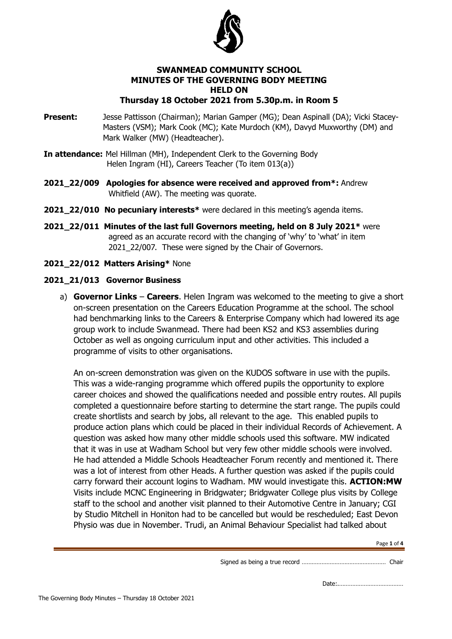

### **SWANMEAD COMMUNITY SCHOOL MINUTES OF THE GOVERNING BODY MEETING HELD ON Thursday 18 October 2021 from 5.30p.m. in Room 5**

- **Present:** Jesse Pattisson (Chairman); Marian Gamper (MG); Dean Aspinall (DA); Vicki Stacey-Masters (VSM); Mark Cook (MC); Kate Murdoch (KM), Davyd Muxworthy (DM) and Mark Walker (MW) (Headteacher).
- **In attendance:** Mel Hillman (MH), Independent Clerk to the Governing Body Helen Ingram (HI), Careers Teacher (To item 013(a))
- **2021\_22/009 Apologies for absence were received and approved from\*:** Andrew Whitfield (AW). The meeting was quorate.
- **2021\_22/010 No pecuniary interests\*** were declared in this meeting's agenda items.
- **2021\_22/011 Minutes of the last full Governors meeting, held on 8 July 2021\*** were agreed as an accurate record with the changing of 'why' to 'what' in item 2021 22/007. These were signed by the Chair of Governors.
- **2021\_22/012 Matters Arising\*** None

# **2021\_21/013 Governor Business**

a) **Governor Links** – **Careers**. Helen Ingram was welcomed to the meeting to give a short on-screen presentation on the Careers Education Programme at the school. The school had benchmarking links to the Careers & Enterprise Company which had lowered its age group work to include Swanmead. There had been KS2 and KS3 assemblies during October as well as ongoing curriculum input and other activities. This included a programme of visits to other organisations.

An on-screen demonstration was given on the KUDOS software in use with the pupils. This was a wide-ranging programme which offered pupils the opportunity to explore career choices and showed the qualifications needed and possible entry routes. All pupils completed a questionnaire before starting to determine the start range. The pupils could create shortlists and search by jobs, all relevant to the age. This enabled pupils to produce action plans which could be placed in their individual Records of Achievement. A question was asked how many other middle schools used this software. MW indicated that it was in use at Wadham School but very few other middle schools were involved. He had attended a Middle Schools Headteacher Forum recently and mentioned it. There was a lot of interest from other Heads. A further question was asked if the pupils could carry forward their account logins to Wadham. MW would investigate this. **ACTION:MW** Visits include MCNC Engineering in Bridgwater; Bridgwater College plus visits by College staff to the school and another visit planned to their Automotive Centre in January; CGI by Studio Mitchell in Honiton had to be cancelled but would be rescheduled; East Devon Physio was due in November. Trudi, an Animal Behaviour Specialist had talked about

Signed as being a true record …………………………………………… Chair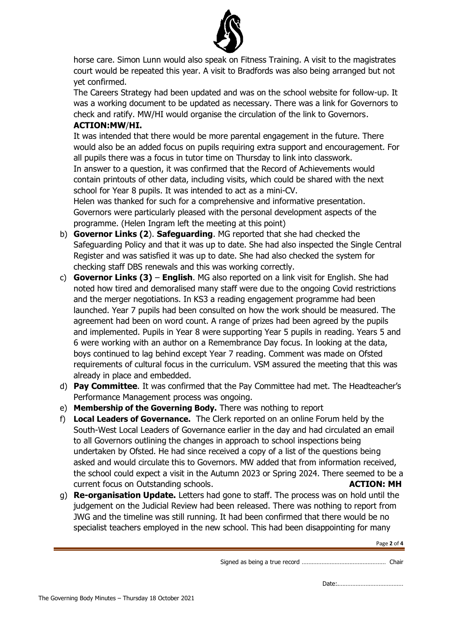

horse care. Simon Lunn would also speak on Fitness Training. A visit to the magistrates court would be repeated this year. A visit to Bradfords was also being arranged but not yet confirmed.

The Careers Strategy had been updated and was on the school website for follow-up. It was a working document to be updated as necessary. There was a link for Governors to check and ratify. MW/HI would organise the circulation of the link to Governors.

# **ACTION:MW**/**HI.**

It was intended that there would be more parental engagement in the future. There would also be an added focus on pupils requiring extra support and encouragement. For all pupils there was a focus in tutor time on Thursday to link into classwork. In answer to a question, it was confirmed that the Record of Achievements would contain printouts of other data, including visits, which could be shared with the next school for Year 8 pupils. It was intended to act as a mini-CV.

Helen was thanked for such for a comprehensive and informative presentation. Governors were particularly pleased with the personal development aspects of the programme. (Helen Ingram left the meeting at this point)

- b) **Governor Links (2**). **Safeguarding**. MG reported that she had checked the Safeguarding Policy and that it was up to date. She had also inspected the Single Central Register and was satisfied it was up to date. She had also checked the system for checking staff DBS renewals and this was working correctly.
- c) **Governor Links (3) English**. MG also reported on a link visit for English. She had noted how tired and demoralised many staff were due to the ongoing Covid restrictions and the merger negotiations. In KS3 a reading engagement programme had been launched. Year 7 pupils had been consulted on how the work should be measured. The agreement had been on word count. A range of prizes had been agreed by the pupils and implemented. Pupils in Year 8 were supporting Year 5 pupils in reading. Years 5 and 6 were working with an author on a Remembrance Day focus. In looking at the data, boys continued to lag behind except Year 7 reading. Comment was made on Ofsted requirements of cultural focus in the curriculum. VSM assured the meeting that this was already in place and embedded.
- d) **Pay Committee**. It was confirmed that the Pay Committee had met. The Headteacher's Performance Management process was ongoing.
- e) **Membership of the Governing Body.** There was nothing to report
- f) **Local Leaders of Governance.** The Clerk reported on an online Forum held by the South-West Local Leaders of Governance earlier in the day and had circulated an email to all Governors outlining the changes in approach to school inspections being undertaken by Ofsted. He had since received a copy of a list of the questions being asked and would circulate this to Governors. MW added that from information received, the school could expect a visit in the Autumn 2023 or Spring 2024. There seemed to be a current focus on Outstanding schools. **ACTION: MH**
- g) **Re-organisation Update.** Letters had gone to staff. The process was on hold until the judgement on the Judicial Review had been released. There was nothing to report from JWG and the timeline was still running. It had been confirmed that there would be no specialist teachers employed in the new school. This had been disappointing for many

Page **2** of **4**

Signed as being a true record …………………………………………… Chair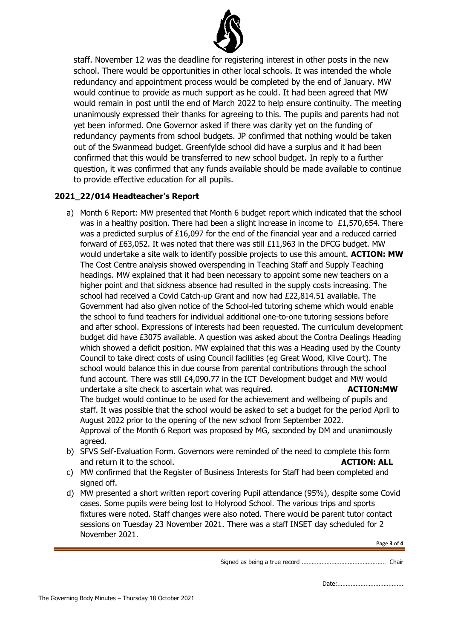

staff. November 12 was the deadline for registering interest in other posts in the new school. There would be opportunities in other local schools. It was intended the whole redundancy and appointment process would be completed by the end of January. MW would continue to provide as much support as he could. It had been agreed that MW would remain in post until the end of March 2022 to help ensure continuity. The meeting unanimously expressed their thanks for agreeing to this. The pupils and parents had not yet been informed. One Governor asked if there was clarity yet on the funding of redundancy payments from school budgets. JP confirmed that nothing would be taken out of the Swanmead budget. Greenfylde school did have a surplus and it had been confirmed that this would be transferred to new school budget. In reply to a further question, it was confirmed that any funds available should be made available to continue to provide effective education for all pupils.

# **2021\_22/014 Headteacher's Report**

- a) Month 6 Report: MW presented that Month 6 budget report which indicated that the school was in a healthy position. There had been a slight increase in income to £1,570,654. There was a predicted surplus of £16,097 for the end of the financial year and a reduced carried forward of £63,052. It was noted that there was still £11,963 in the DFCG budget. MW would undertake a site walk to identify possible projects to use this amount. **ACTION: MW**  The Cost Centre analysis showed overspending in Teaching Staff and Supply Teaching headings. MW explained that it had been necessary to appoint some new teachers on a higher point and that sickness absence had resulted in the supply costs increasing. The school had received a Covid Catch-up Grant and now had £22,814.51 available. The Government had also given notice of the School-led tutoring scheme which would enable the school to fund teachers for individual additional one-to-one tutoring sessions before and after school. Expressions of interests had been requested. The curriculum development budget did have £3075 available. A question was asked about the Contra Dealings Heading which showed a deficit position. MW explained that this was a Heading used by the County Council to take direct costs of using Council facilities (eg Great Wood, Kilve Court). The school would balance this in due course from parental contributions through the school fund account. There was still £4,090.77 in the ICT Development budget and MW would undertake a site check to ascertain what was required. **ACTION:MW** The budget would continue to be used for the achievement and wellbeing of pupils and staff. It was possible that the school would be asked to set a budget for the period April to August 2022 prior to the opening of the new school from September 2022. Approval of the Month 6 Report was proposed by MG, seconded by DM and unanimously agreed. b) SFVS Self-Evaluation Form. Governors were reminded of the need to complete this form
- and return it to the school. **ACTION: ALL**
- c) MW confirmed that the Register of Business Interests for Staff had been completed and signed off.
- d) MW presented a short written report covering Pupil attendance (95%), despite some Covid cases. Some pupils were being lost to Holyrood School. The various trips and sports fixtures were noted. Staff changes were also noted. There would be parent tutor contact sessions on Tuesday 23 November 2021. There was a staff INSET day scheduled for 2 November 2021.

Page **3** of **4**

Signed as being a true record …………………………………………… Chair